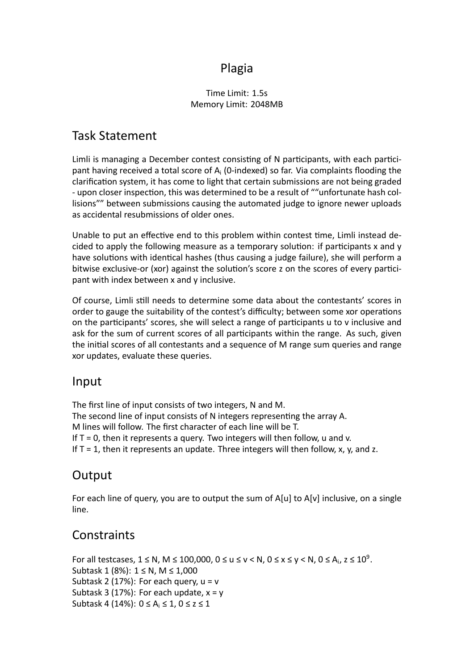#### Plagia

#### Time Limit: 1.5s Memory Limit: 2048MB

# Task Statement

Limli is managing a December contest consisting of N participants, with each participant having received a total score of  $A_i$  (0-indexed) so far. Via complaints flooding the clarification system, it has come to light that certain submissions are not being graded - upon closer inspection, this was determined to be a result of ""unfortunate hash collisions"" between submissions causing the automated judge to ignore newer uploads as accidental resubmissions of older ones.

Unable to put an effective end to this problem within contest time, Limli instead decided to apply the following measure as a temporary solution: if participants  $x$  and  $y$ have solutions with identical hashes (thus causing a judge failure), she will perform a bitwise exclusive-or (xor) against the solution's score z on the scores of every participant with index between x and y inclusive.

Of course, Limli sƟll needs to determine some data about the contestants' scores in order to gauge the suitability of the contest's difficulty; between some xor operations on the participants' scores, she will select a range of participants u to v inclusive and ask for the sum of current scores of all participants within the range. As such, given the initial scores of all contestants and a sequence of M range sum queries and range xor updates, evaluate these queries.

#### Input

The first line of input consists of two integers, N and M. The second line of input consists of N integers representing the array A. M lines will follow. The first character of each line will be T. If  $T = 0$ , then it represents a query. Two integers will then follow, u and v. If  $T = 1$ , then it represents an update. Three integers will then follow, x, y, and z.

## **Output**

For each line of query, you are to output the sum of A[u] to A[v] inclusive, on a single line.

## **Constraints**

For all testcases,  $1 \le N$ ,  $M \le 100,000$ ,  $0 \le u \le v \le N$ ,  $0 \le x \le y \le N$ ,  $0 \le A_i$ ,  $z \le 10^9$ . Subtask 1 (8%): 1 ≤ N, M ≤ 1,000 Subtask 2 (17%): For each query,  $u = v$ Subtask 3 (17%): For each update,  $x = y$ Subtask 4 (14%):  $0 \le A_i \le 1$ ,  $0 \le z \le 1$